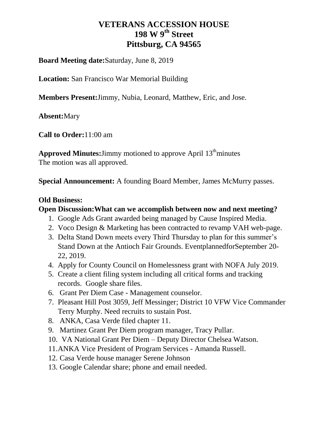### **Board Meeting date:**Saturday, June 8, 2019

**Location:** San Francisco War Memorial Building

**Members Present:**Jimmy, Nubia, Leonard, Matthew, Eric, and Jose.

**Absent:**Mary

**Call to Order:**11:00 am

**Approved Minutes:**Jimmy motioned to approve April 13<sup>th</sup>minutes The motion was all approved.

**Special Announcement:** A founding Board Member, James McMurry passes.

### **Old Business:**

### **Open Discussion:What can we accomplish between now and next meeting?**

- 1. Google Ads Grant awarded being managed by Cause Inspired Media.
- 2. Voco Design & Marketing has been contracted to revamp VAH web-page.
- 3. Delta Stand Down meets every Third Thursday to plan for this summer's Stand Down at the Antioch Fair Grounds. EventplannedforSeptember 20- 22, 2019.
- 4. Apply for County Council on Homelessness grant with NOFA July 2019.
- 5. Create a client filing system including all critical forms and tracking records. Google share files.
- 6. Grant Per Diem Case Management counselor.
- 7. Pleasant Hill Post 3059, Jeff Messinger; District 10 VFW Vice Commander Terry Murphy. Need recruits to sustain Post.
- 8. ANKA, Casa Verde filed chapter 11.
- 9. Martinez Grant Per Diem program manager, Tracy Pullar.
- 10. VA National Grant Per Diem Deputy Director Chelsea Watson.
- 11.ANKA Vice President of Program Services Amanda Russell.
- 12. Casa Verde house manager Serene Johnson
- 13. Google Calendar share; phone and email needed.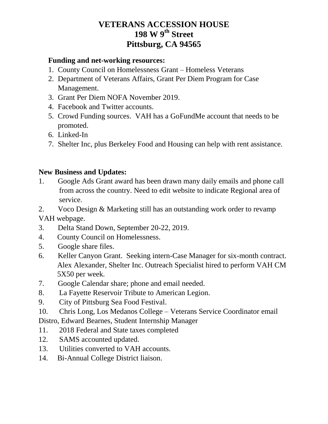#### **Funding and net-working resources:**

- 1. County Council on Homelessness Grant Homeless Veterans
- 2. Department of Veterans Affairs, Grant Per Diem Program for Case Management.
- 3. Grant Per Diem NOFA November 2019.
- 4. Facebook and Twitter accounts.
- 5. Crowd Funding sources. VAH has a GoFundMe account that needs to be promoted.
- 6. Linked-In
- 7. Shelter Inc, plus Berkeley Food and Housing can help with rent assistance.

#### **New Business and Updates:**

- 1. Google Ads Grant award has been drawn many daily emails and phone call from across the country. Need to edit website to indicate Regional area of service.
- 2. Voco Design & Marketing still has an outstanding work order to revamp VAH webpage.
- 3. Delta Stand Down, September 20-22, 2019.
- 4. County Council on Homelessness.
- 5. Google share files.
- 6. Keller Canyon Grant. Seeking intern-Case Manager for six-month contract. Alex Alexander, Shelter Inc. Outreach Specialist hired to perform VAH CM 5X50 per week.
- 7. Google Calendar share; phone and email needed.
- 8. La Fayette Reservoir Tribute to American Legion.
- 9. City of Pittsburg Sea Food Festival.
- 10. Chris Long, Los Medanos College Veterans Service Coordinator email Distro, Edward Bearnes, Student Internship Manager
- 11. 2018 Federal and State taxes completed
- 12. SAMS accounted updated.
- 13. Utilities converted to VAH accounts.
- 14. Bi-Annual College District liaison.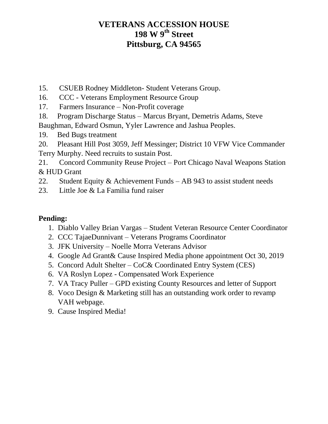- 15. CSUEB Rodney Middleton- Student Veterans Group.
- 16. CCC Veterans Employment Resource Group
- 17. Farmers Insurance Non-Profit coverage
- 18. Program Discharge Status Marcus Bryant, Demetris Adams, Steve Baughman, Edward Osmun, Yyler Lawrence and Jashua Peoples.
- 19. Bed Bugs treatment
- 20. Pleasant Hill Post 3059, Jeff Messinger; District 10 VFW Vice Commander Terry Murphy. Need recruits to sustain Post.
- 21. Concord Community Reuse Project Port Chicago Naval Weapons Station & HUD Grant
- 22. Student Equity & Achievement Funds AB 943 to assist student needs
- 23. Little Joe & La Familia fund raiser

### **Pending:**

- 1. Diablo Valley Brian Vargas Student Veteran Resource Center Coordinator
- 2. CCC TajaeDunnivant Veterans Programs Coordinator
- 3. JFK University Noelle Morra Veterans Advisor
- 4. Google Ad Grant& Cause Inspired Media phone appointment Oct 30, 2019
- 5. Concord Adult Shelter CoC& Coordinated Entry System (CES)
- 6. VA Roslyn Lopez Compensated Work Experience
- 7. VA Tracy Puller GPD existing County Resources and letter of Support
- 8. Voco Design & Marketing still has an outstanding work order to revamp VAH webpage.
- 9. Cause Inspired Media!